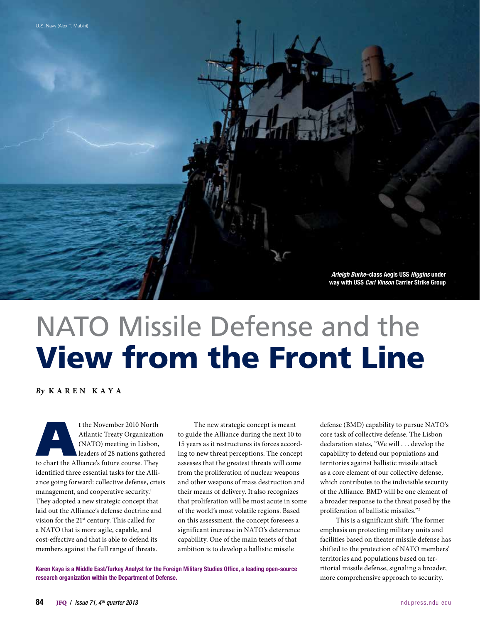*Arleigh Burke*–class Aegis USS *Higgins* under way with USS *Carl Vinson* Carrier Strike Group

# NATO Missile Defense and the View from the Front Line

*By* **K a ren K a y a**

t the November 2010 North<br>
Atlantic Treaty Organizatio<br>
(NATO) meeting in Lisbon,<br>
leaders of 28 nations gathere<br>
to chart the Alliance's future course. They Atlantic Treaty Organization (NATO) meeting in Lisbon, leaders of 28 nations gathered identified three essential tasks for the Alliance going forward: collective defense, crisis management, and cooperative security.<sup>1</sup> They adopted a new strategic concept that laid out the Alliance's defense doctrine and vision for the 21st century. This called for a NATO that is more agile, capable, and cost-effective and that is able to defend its members against the full range of threats.

The new strategic concept is meant to guide the Alliance during the next 10 to 15 years as it restructures its forces according to new threat perceptions. The concept assesses that the greatest threats will come from the proliferation of nuclear weapons and other weapons of mass destruction and their means of delivery. It also recognizes that proliferation will be most acute in some of the world's most volatile regions. Based on this assessment, the concept foresees a significant increase in NATO's deterrence capability. One of the main tenets of that ambition is to develop a ballistic missile

Karen Kaya is a Middle East/Turkey Analyst for the Foreign Military Studies Office, a leading open-source research organization within the Department of Defense.

defense (BMD) capability to pursue NATO's core task of collective defense. The Lisbon declaration states, "We will . . . develop the capability to defend our populations and territories against ballistic missile attack as a core element of our collective defense, which contributes to the indivisible security of the Alliance. BMD will be one element of a broader response to the threat posed by the proliferation of ballistic missiles."2

This is a significant shift. The former emphasis on protecting military units and facilities based on theater missile defense has shifted to the protection of NATO members' territories and populations based on territorial missile defense, signaling a broader, more comprehensive approach to security.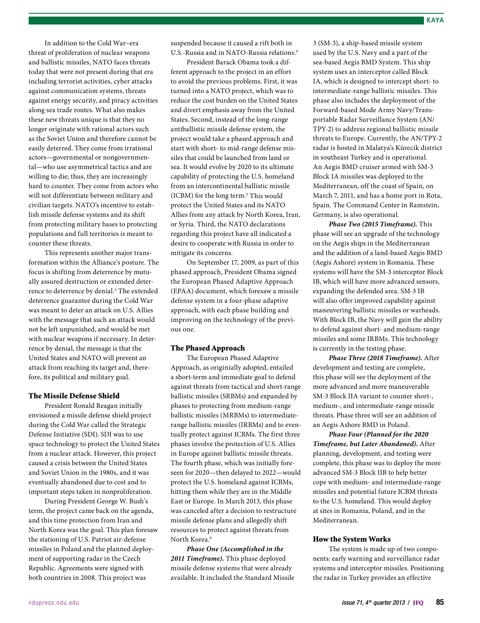In addition to the Cold War–era threat of proliferation of nuclear weapons and ballistic missiles, NATO faces threats today that were not present during that era including terrorist activities, cyber attacks against communication systems, threats against energy security, and piracy activities along sea trade routes. What also makes these new threats unique is that they no longer originate with rational actors such as the Soviet Union and therefore cannot be easily deterred. They come from irrational actors—governmental or nongovernmental—who use asymmetrical tactics and are willing to die; thus, they are increasingly hard to counter. They come from actors who will not differentiate between military and civilian targets. NATO's incentive to establish missile defense systems and its shift from protecting military bases to protecting populations and full territories is meant to counter these threats.

This represents another major transformation within the Alliance's posture. The focus is shifting from deterrence by mutually assured destruction or extended deterrence to deterrence by denial.<sup>3</sup> The extended deterrence guarantee during the Cold War was meant to deter an attack on U.S. Allies with the message that such an attack would not be left unpunished, and would be met with nuclear weapons if necessary. In deterrence by denial, the message is that the United States and NATO will prevent an attack from reaching its target and, therefore, its political and military goal.

## The Missile Defense Shield

President Ronald Reagan initially envisioned a missile defense shield project during the Cold War called the Strategic Defense Initiative (SDI). SDI was to use space technology to protect the United States from a nuclear attack. However, this project caused a crisis between the United States and Soviet Union in the 1980s, and it was eventually abandoned due to cost and to important steps taken in nonproliferation.

During President George W. Bush's term, the project came back on the agenda, and this time protection from Iran and North Korea was the goal. This plan foresaw the stationing of U.S. Patriot air-defense missiles in Poland and the planned deployment of supporting radar in the Czech Republic. Agreements were signed with both countries in 2008. This project was

suspended because it caused a rift both in U.S.-Russia and in NATO-Russia relations.4

President Barack Obama took a different approach to the project in an effort to avoid the previous problems. First, it was turned into a NATO project, which was to reduce the cost burden on the United States and divert emphasis away from the United States. Second, instead of the long-range antiballistic missile defense system, the project would take a phased approach and start with short- to mid-range defense missiles that could be launched from land or sea. It would evolve by 2020 to its ultimate capability of protecting the U.S. homeland from an intercontinental ballistic missile (ICBM) for the long term.<sup>5</sup> This would protect the United States and its NATO Allies from any attack by North Korea, Iran, or Syria. Third, the NATO declarations regarding this project have all indicated a desire to cooperate with Russia in order to mitigate its concerns.

On September 17, 2009, as part of this phased approach, President Obama signed the European Phased Adaptive Approach (EPAA) document, which foresaw a missile defense system in a four-phase adaptive approach, with each phase building and improving on the technology of the previous one.

#### The Phased Approach

The European Phased Adaptive Approach, as originially adopted, entailed a short-term and immediate goal to defend against threats from tactical and short-range ballistic missiles (SRBMs) and expanded by phases to protecting from medium-range ballistic missiles (MRBMs) to intermediaterange ballistic missiles (IRBMs) and to eventually protect against ICBMs. The first three phases involve the protection of U.S. Allies in Europe against ballistic missile threats. The fourth phase, which was initially foreseen for 2020—then delayed to 2022—would protect the U.S. homeland against ICBMs, hitting them while they are in the Middle East or Europe. In March 2013, this phase was canceled after a decision to restructure missile defense plans and allegedly shift resources to protect against threats from North Korea.<sup>6</sup>

*Phase One (Accomplished in the 2011 Timeframe).* This phase deployed missile defense systems that were already available. It included the Standard Missile 3 (SM-3), a ship-based missile system used by the U.S. Navy and a part of the sea-based Aegis BMD System. This ship system uses an interceptor called Block IA, which is designed to intercept short- to intermediate-range ballistic missiles. This phase also includes the deployment of the Forward-based Mode Army Navy/Transportable Radar Surveillance System (AN/ TPY-2) to address regional ballistic missile threats to Europe. Currently, the AN/TPY-2 radar is hosted in Malatya's Kürecik district in southeast Turkey and is operational. An Aegis BMD cruiser armed with SM-3 Block IA missiles was deployed to the Mediterranean, off the coast of Spain, on March 7, 2011, and has a home port in Rota, Spain. The Command Center in Ramstein, Germany, is also operational.

*Phase Two (2015 Timeframe).* This phase will see an upgrade of the technology on the Aegis ships in the Mediterranean and the addition of a land-based Aegis BMD (Aegis Ashore) system in Romania. These systems will have the SM-3 interceptor Block IB, which will have more advanced sensors, expanding the defended area. SM-3 IB will also offer improved capability against maneuvering ballistic missiles or warheads. With Block IB, the Navy will gain the ability to defend against short- and medium-range missiles and some IRBMs. This technology is currently in the testing phase.

*Phase Three (2018 Timeframe).* After development and testing are complete, this phase will see the deployment of the more advanced and more maneuverable SM-3 Block IIA variant to counter short-, medium-, and intermediate-range missile threats. Phase three will see an addition of an Aegis Ashore BMD in Poland.

*Phase Four (Planned for the 2020 Timeframe, but Later Abandoned).* After planning, development, and testing were complete, this phase was to deploy the more advanced SM-3 Block IIB to help better cope with medium- and intermediate-range missiles and potential future ICBM threats to the U.S. homeland. This would deploy at sites in Romania, Poland, and in the Mediterranean.

#### How the System Works

The system is made up of two components: early warning and surveillance radar systems and interceptor missiles. Positioning the radar in Turkey provides an effective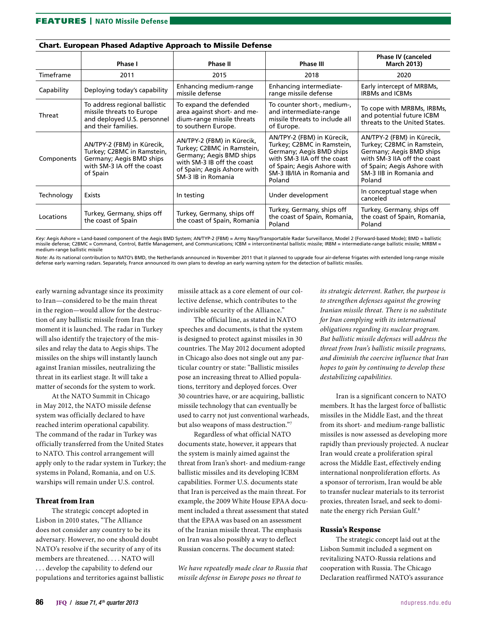|            | Phase I                                                                                                                        | Phase II                                                                                                                                                                | <b>Phase III</b>                                                                                                                                                                           | <b>Phase IV (canceled</b><br><b>March 2013)</b>                                                                                                                                         |
|------------|--------------------------------------------------------------------------------------------------------------------------------|-------------------------------------------------------------------------------------------------------------------------------------------------------------------------|--------------------------------------------------------------------------------------------------------------------------------------------------------------------------------------------|-----------------------------------------------------------------------------------------------------------------------------------------------------------------------------------------|
| Timeframe  | 2011                                                                                                                           | 2015                                                                                                                                                                    | 2018                                                                                                                                                                                       | 2020                                                                                                                                                                                    |
| Capability | Deploying today's capability                                                                                                   | Enhancing medium-range<br>missile defense                                                                                                                               | Enhancing intermediate-<br>range missile defense                                                                                                                                           | Early intercept of MRBMs,<br><b>IRBMs and ICBMs</b>                                                                                                                                     |
| Threat     | To address regional ballistic<br>missile threats to Europe<br>and deployed U.S. personnel<br>and their families.               | To expand the defended<br>area against short- and me-<br>dium-range missile threats<br>to southern Europe.                                                              | To counter short-, medium-,<br>and intermediate-range<br>missile threats to include all<br>of Europe.                                                                                      | To cope with MRBMs, IRBMs,<br>and potential future ICBM<br>threats to the United States.                                                                                                |
| Components | AN/TPY-2 (FBM) in Kürecik,<br>Turkey; C2BMC in Ramstein,<br>Germany; Aegis BMD ships<br>with SM-3 IA off the coast<br>of Spain | AN/TPY-2 (FBM) in Kürecik,<br>Turkey; C2BMC in Ramstein,<br>Germany; Aegis BMD ships<br>with SM-3 IB off the coast<br>of Spain; Aegis Ashore with<br>SM-3 IB in Romania | AN/TPY-2 (FBM) in Kürecik,<br>Turkey; C2BMC in Ramstein,<br>Germany; Aegis BMD ships<br>with SM-3 IIA off the coast<br>of Spain; Aegis Ashore with<br>SM-3 IB/IIA in Romania and<br>Poland | AN/TPY-2 (FBM) in Kürecik,<br>Turkey; C2BMC in Ramstein,<br>Germany; Aegis BMD ships<br>with SM-3 IIA off the coast<br>of Spain; Aegis Ashore with<br>SM-3 IIB in Romania and<br>Poland |
| Technology | Exists                                                                                                                         | In testing                                                                                                                                                              | Under development                                                                                                                                                                          | In conceptual stage when<br>canceled                                                                                                                                                    |
| Locations  | Turkey, Germany, ships off<br>the coast of Spain                                                                               | Turkey, Germany, ships off<br>the coast of Spain, Romania                                                                                                               | Turkey, Germany, ships off<br>the coast of Spain, Romania,<br>Poland                                                                                                                       | Turkey, Germany, ships off<br>the coast of Spain, Romania,<br>Poland                                                                                                                    |

## Chart. European Phased Adaptive Approach to Missile Defense

*Key:* Aegis Ashore = Land-based component of the Aegis BMD System; AN/TYP-2 (FBM) = Army Navy/Transportable Radar Surveillance, Model 2 (Forward-based Mode); BMD = ballistic missile defense; C2BMC = Command, Control, Battle Management, and Communications; ICBM = intercontinental ballistic missile; IRBM = intermediate-range ballistic missile; MRBM = medium-range ballistic missile

*Note:* As its national contribution to NATO's BMD, the Netherlands announced in November 2011 that it planned to upgrade four air-defense frigates with extended long-range missile defense early warning radars. Separately, France announced its own plans to develop an early warning system for the detection of ballistic missiles.

early warning advantage since its proximity to Iran—considered to be the main threat in the region—would allow for the destruction of any ballistic missile from Iran the moment it is launched. The radar in Turkey will also identify the trajectory of the missiles and relay the data to Aegis ships. The missiles on the ships will instantly launch against Iranian missiles, neutralizing the threat in its earliest stage. It will take a matter of seconds for the system to work.

At the NATO Summit in Chicago in May 2012, the NATO missile defense system was officially declared to have reached interim operational capability. The command of the radar in Turkey was officially transferred from the United States to NATO. This control arrangement will apply only to the radar system in Turkey; the systems in Poland, Romania, and on U.S. warships will remain under U.S. control.

# Threat from Iran

The strategic concept adopted in Lisbon in 2010 states, "The Alliance does not consider any country to be its adversary. However, no one should doubt NATO's resolve if the security of any of its members are threatened. . . . NATO will . . . develop the capability to defend our populations and territories against ballistic missile attack as a core element of our collective defense, which contributes to the indivisible security of the Alliance."

The official line, as stated in NATO speeches and documents, is that the system is designed to protect against missiles in 30 countries. The May 2012 document adopted in Chicago also does not single out any particular country or state: "Ballistic missiles pose an increasing threat to Allied populations, territory and deployed forces. Over 30 countries have, or are acquiring, ballistic missile technology that can eventually be used to carry not just conventional warheads, but also weapons of mass destruction."7

Regardless of what official NATO documents state, however, it appears that the system is mainly aimed against the threat from Iran's short- and medium-range ballistic missiles and its developing ICBM capabilities. Former U.S. documents state that Iran is perceived as the main threat. For example, the 2009 White House EPAA document included a threat assessment that stated that the EPAA was based on an assessment of the Iranian missile threat. The emphasis on Iran was also possibly a way to deflect Russian concerns. The document stated:

*We have repeatedly made clear to Russia that missile defense in Europe poses no threat to* 

*its strategic deterrent. Rather, the purpose is to strengthen defenses against the growing Iranian missile threat. There is no substitute for Iran complying with its international obligations regarding its nuclear program. But ballistic missile defenses will address the threat from Iran's ballistic missile programs, and diminish the coercive influence that Iran hopes to gain by continuing to develop these destabilizing capabilities.*

Iran is a significant concern to NATO members. It has the largest force of ballistic missiles in the Middle East, and the threat from its short- and medium-range ballistic missiles is now assessed as developing more rapidly than previously projected. A nuclear Iran would create a proliferation spiral across the Middle East, effectively ending international nonproliferation efforts. As a sponsor of terrorism, Iran would be able to transfer nuclear materials to its terrorist proxies, threaten Israel, and seek to dominate the energy rich Persian Gulf.<sup>8</sup>

# Russia's Response

The strategic concept laid out at the Lisbon Summit included a segment on revitalizing NATO-Russia relations and cooperation with Russia. The Chicago Declaration reaffirmed NATO's assurance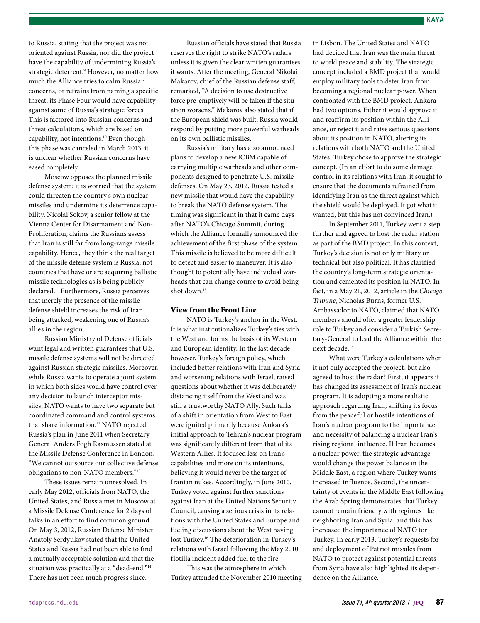to Russia, stating that the project was not oriented against Russia, nor did the project have the capability of undermining Russia's strategic deterrent.9 However, no matter how much the Alliance tries to calm Russian concerns, or refrains from naming a specific threat, its Phase Four would have capability against some of Russia's strategic forces. This is factored into Russian concerns and threat calculations, which are based on capability, not intentions.10 Even though this phase was canceled in March 2013, it is unclear whether Russian concerns have eased completely.

Moscow opposes the planned missile defense system; it is worried that the system could threaten the country's own nuclear missiles and undermine its deterrence capability. Nicolai Sokov, a senior fellow at the Vienna Center for Disarmament and Non-Proliferation, claims the Russians assess that Iran is still far from long-range missile capability. Hence, they think the real target of the missile defense system is Russia, not countries that have or are acquiring ballistic missile technologies as is being publicly declared.11 Furthermore, Russia perceives that merely the presence of the missile defense shield increases the risk of Iran being attacked, weakening one of Russia's allies in the region.

Russian Ministry of Defense officials want legal and written guarantees that U.S. missile defense systems will not be directed against Russian strategic missiles. Moreover, while Russia wants to operate a joint system in which both sides would have control over any decision to launch interceptor missiles, NATO wants to have two separate but coordinated command and control systems that share information.12 NATO rejected Russia's plan in June 2011 when Secretary General Anders Fogh Rasmussen stated at the Missile Defense Conference in London, "We cannot outsource our collective defense obligations to non-NATO members."13

These issues remain unresolved. In early May 2012, officials from NATO, the United States, and Russia met in Moscow at a Missile Defense Conference for 2 days of talks in an effort to find common ground. On May 3, 2012, Russian Defense Minister Anatoly Serdyukov stated that the United States and Russia had not been able to find a mutually acceptable solution and that the situation was practically at a "dead-end."14 There has not been much progress since.

Russian officials have stated that Russia reserves the right to strike NATO's radars unless it is given the clear written guarantees it wants. After the meeting, General Nikolai Makarov, chief of the Russian defense staff, remarked, "A decision to use destructive force pre-emptively will be taken if the situation worsens." Makarov also stated that if the European shield was built, Russia would respond by putting more powerful warheads on its own ballistic missiles.

Russia's military has also announced plans to develop a new ICBM capable of carrying multiple warheads and other components designed to penetrate U.S. missile defenses. On May 23, 2012, Russia tested a new missile that would have the capability to break the NATO defense system. The timing was significant in that it came days after NATO's Chicago Summit, during which the Alliance formally announced the achievement of the first phase of the system. This missile is believed to be more difficult to detect and easier to maneuver. It is also thought to potentially have individual warheads that can change course to avoid being shot down.15

#### View from the Front Line

NATO is Turkey's anchor in the West. It is what institutionalizes Turkey's ties with the West and forms the basis of its Western and European identity. In the last decade, however, Turkey's foreign policy, which included better relations with Iran and Syria and worsening relations with Israel, raised questions about whether it was deliberately distancing itself from the West and was still a trustworthy NATO Ally. Such talks of a shift in orientation from West to East were ignited primarily because Ankara's initial approach to Tehran's nuclear program was significantly different from that of its Western Allies. It focused less on Iran's capabilities and more on its intentions, believing it would never be the target of Iranian nukes. Accordingly, in June 2010, Turkey voted against further sanctions against Iran at the United Nations Security Council, causing a serious crisis in its relations with the United States and Europe and fueling discussions about the West having lost Turkey.16 The deterioration in Turkey's relations with Israel following the May 2010 flotilla incident added fuel to the fire.

This was the atmosphere in which Turkey attended the November 2010 meeting

in Lisbon. The United States and NATO had decided that Iran was the main threat to world peace and stability. The strategic concept included a BMD project that would employ military tools to deter Iran from becoming a regional nuclear power. When confronted with the BMD project, Ankara had two options. Either it would approve it and reaffirm its position within the Alliance, or reject it and raise serious questions about its position in NATO, altering its relations with both NATO and the United States. Turkey chose to approve the strategic concept. (In an effort to do some damage control in its relations with Iran, it sought to ensure that the documents refrained from identifying Iran as the threat against which the shield would be deployed. It got what it wanted, but this has not convinced Iran.)

In September 2011, Turkey went a step further and agreed to host the radar station as part of the BMD project. In this context, Turkey's decision is not only military or technical but also political. It has clarified the country's long-term strategic orientation and cemented its position in NATO. In fact, in a May 21, 2012, article in the *Chicago Tribune*, Nicholas Burns, former U.S. Ambassador to NATO, claimed that NATO members should offer a greater leadership role to Turkey and consider a Turkish Secretary-General to lead the Alliance within the next decade.17

What were Turkey's calculations when it not only accepted the project, but also agreed to host the radar? First, it appears it has changed its assessment of Iran's nuclear program. It is adopting a more realistic approach regarding Iran, shifting its focus from the peaceful or hostile intentions of Iran's nuclear program to the importance and necessity of balancing a nuclear Iran's rising regional influence. If Iran becomes a nuclear power, the strategic advantage would change the power balance in the Middle East, a region where Turkey wants increased influence. Second, the uncertainty of events in the Middle East following the Arab Spring demonstrates that Turkey cannot remain friendly with regimes like neighboring Iran and Syria, and this has increased the importance of NATO for Turkey. In early 2013, Turkey's requests for and deployment of Patriot missiles from NATO to protect against potential threats from Syria have also highlighted its dependence on the Alliance.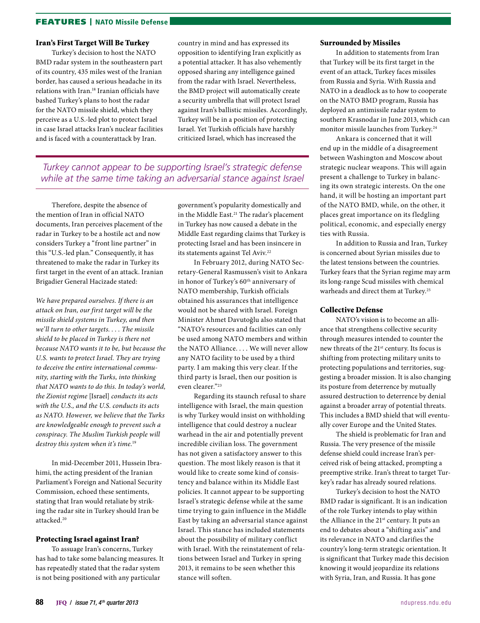# FEATURES | NATO Missile Defense

## Iran's First Target Will Be Turkey

Turkey's decision to host the NATO BMD radar system in the southeastern part of its country, 435 miles west of the Iranian border, has caused a serious headache in its relations with Iran.18 Iranian officials have bashed Turkey's plans to host the radar for the NATO missile shield, which they perceive as a U.S.-led plot to protect Israel in case Israel attacks Iran's nuclear facilities and is faced with a counterattack by Iran.

country in mind and has expressed its opposition to identifying Iran explicitly as a potential attacker. It has also vehemently opposed sharing any intelligence gained from the radar with Israel. Nevertheless, the BMD project will automatically create a security umbrella that will protect Israel against Iran's ballistic missiles. Accordingly, Turkey will be in a position of protecting Israel. Yet Turkish officials have harshly criticized Israel, which has increased the

# *Turkey cannot appear to be supporting Israel's strategic defense while at the same time taking an adversarial stance against Israel*

Therefore, despite the absence of the mention of Iran in official NATO documents, Iran perceives placement of the radar in Turkey to be a hostile act and now considers Turkey a "front line partner" in this "U.S.-led plan." Consequently, it has threatened to make the radar in Turkey its first target in the event of an attack. Iranian Brigadier General Hacizade stated:

*We have prepared ourselves. If there is an attack on Iran, our first target will be the missile shield systems in Turkey, and then we'll turn to other targets. . . . The missile shield to be placed in Turkey is there not because NATO wants it to be, but because the U.S. wants to protect Israel. They are trying to deceive the entire international community, starting with the Turks, into thinking that NATO wants to do this. In today's world, the Zionist regime* [Israel] *conducts its acts with the U.S., and the U.S. conducts its acts as NATO. However, we believe that the Turks are knowledgeable enough to prevent such a conspiracy. The Muslim Turkish people will destroy this system when it's time.*<sup>19</sup>

In mid-December 2011, Hussein Ibrahimi, the acting president of the Iranian Parliament's Foreign and National Security Commission, echoed these sentiments, stating that Iran would retaliate by striking the radar site in Turkey should Iran be attacked.20

# Protecting Israel against Iran?

To assuage Iran's concerns, Turkey has had to take some balancing measures. It has repeatedly stated that the radar system is not being positioned with any particular

government's popularity domestically and in the Middle East.<sup>21</sup> The radar's placement in Turkey has now caused a debate in the Middle East regarding claims that Turkey is protecting Israel and has been insincere in its statements against Tel Aviv.<sup>22</sup>

In February 2012, during NATO Secretary-General Rasmussen's visit to Ankara in honor of Turkey's 60<sup>th</sup> anniversary of NATO membership, Turkish officials obtained his assurances that intelligence would not be shared with Israel. Foreign Minister Ahmet Davutoğlu also stated that "NATO's resources and facilities can only be used among NATO members and within the NATO Alliance. . . . We will never allow any NATO facility to be used by a third party. I am making this very clear. If the third party is Israel, then our position is even clearer."23

Regarding its staunch refusal to share intelligence with Israel, the main question is why Turkey would insist on withholding intelligence that could destroy a nuclear warhead in the air and potentially prevent incredible civilian loss. The government has not given a satisfactory answer to this question. The most likely reason is that it would like to create some kind of consistency and balance within its Middle East policies. It cannot appear to be supporting Israel's strategic defense while at the same time trying to gain influence in the Middle East by taking an adversarial stance against Israel. This stance has included statements about the possibility of military conflict with Israel. With the reinstatement of relations between Israel and Turkey in spring 2013, it remains to be seen whether this stance will soften.

#### Surrounded by Missiles

In addition to statements from Iran that Turkey will be its first target in the event of an attack, Turkey faces missiles from Russia and Syria. With Russia and NATO in a deadlock as to how to cooperate on the NATO BMD program, Russia has deployed an antimissile radar system to southern Krasnodar in June 2013, which can monitor missile launches from Turkey.24

Ankara is concerned that it will end up in the middle of a disagreement between Washington and Moscow about strategic nuclear weapons. This will again present a challenge to Turkey in balancing its own strategic interests. On the one hand, it will be hosting an important part of the NATO BMD, while, on the other, it places great importance on its fledgling political, economic, and especially energy ties with Russia.

In addition to Russia and Iran, Turkey is concerned about Syrian missiles due to the latest tensions between the countries. Turkey fears that the Syrian regime may arm its long-range Scud missiles with chemical warheads and direct them at Turkey.25

#### Collective Defense

NATO's vision is to become an alliance that strengthens collective security through measures intended to counter the new threats of the 21<sup>st</sup> century. Its focus is shifting from protecting military units to protecting populations and territories, suggesting a broader mission. It is also changing its posture from deterrence by mutually assured destruction to deterrence by denial against a broader array of potential threats. This includes a BMD shield that will eventually cover Europe and the United States.

The shield is problematic for Iran and Russia. The very presence of the missile defense shield could increase Iran's perceived risk of being attacked, prompting a preemptive strike. Iran's threat to target Turkey's radar has already soured relations.

Turkey's decision to host the NATO BMD radar is significant. It is an indication of the role Turkey intends to play within the Alliance in the 21<sup>st</sup> century. It puts an end to debates about a "shifting axis" and its relevance in NATO and clarifies the country's long-term strategic orientation. It is significant that Turkey made this decision knowing it would jeopardize its relations with Syria, Iran, and Russia. It has gone